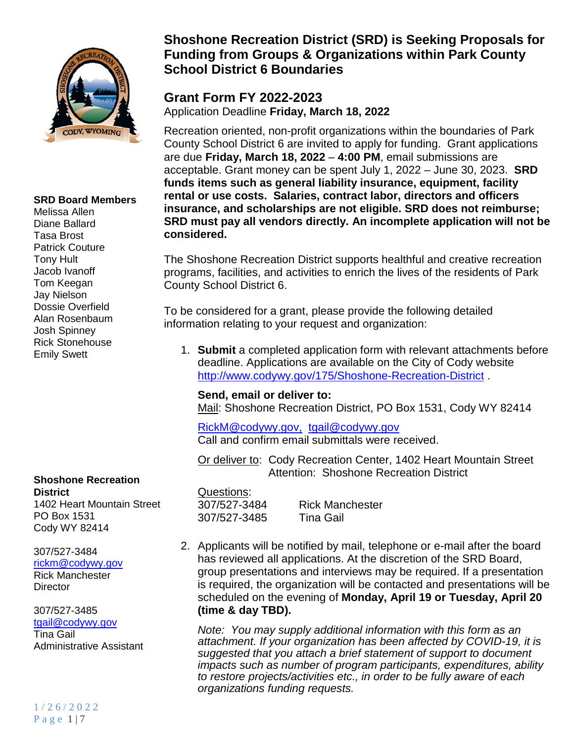

### **SRD Board Members**

Melissa Allen Diane Ballard Tasa Brost Patrick Couture Tony Hult Jacob Ivanoff Tom Keegan Jay Nielson Dossie Overfield Alan Rosenbaum Josh Spinney Rick Stonehouse Emily Swett

**Shoshone Recreation District** 1402 Heart Mountain Street

PO Box 1531 Cody WY 82414

307/527-3484

[rickm@codywy.gov](mailto:rickm@codywy.gov) Rick Manchester **Director** 

307/527-3485 [tgail@codywy.gov](mailto:tgail@codywy.gov)

Tina Gail Administrative Assistant

# **Shoshone Recreation District (SRD) is Seeking Proposals for Funding from Groups & Organizations within Park County School District 6 Boundaries**

# **Grant Form FY 2022-2023**

Application Deadline **Friday, March 18, 2022**

Recreation oriented, non-profit organizations within the boundaries of Park County School District 6 are invited to apply for funding. Grant applications are due **Friday, March 18, 2022** – **4:00 PM**, email submissions are acceptable. Grant money can be spent July 1, 2022 – June 30, 2023. **SRD funds items such as general liability insurance, equipment, facility rental or use costs. Salaries, contract labor, directors and officers insurance, and scholarships are not eligible. SRD does not reimburse; SRD must pay all vendors directly. An incomplete application will not be considered.**

The Shoshone Recreation District supports healthful and creative recreation programs, facilities, and activities to enrich the lives of the residents of Park County School District 6.

To be considered for a grant, please provide the following detailed information relating to your request and organization:

1. **Submit** a completed application form with relevant attachments before deadline. Applications are available on the City of Cody website <http://www.codywy.gov/175/Shoshone-Recreation-District> .

## **Send, email or deliver to:**

Mail: Shoshone Recreation District, PO Box 1531, Cody WY 82414

[RickM@codywy.g](mailto:RickM@codywy.)ov, tgail@codywy.gov Call and confirm email submittals were received.

Or deliver to: Cody Recreation Center, 1402 Heart Mountain Street Attention: Shoshone Recreation District

Questions: 307/527-3484 Rick Manchester 307/527-3485 Tina Gail

2. Applicants will be notified by mail, telephone or e-mail after the board has reviewed all applications. At the discretion of the SRD Board, group presentations and interviews may be required. If a presentation is required, the organization will be contacted and presentations will be scheduled on the evening of **Monday, April 19 or Tuesday, April 20 (time & day TBD).**

*Note: You may supply additional information with this form as an attachment. If your organization has been affected by COVID-19, it is suggested that you attach a brief statement of support to document impacts such as number of program participants, expenditures, ability to restore projects/activities etc., in order to be fully aware of each organizations funding requests.*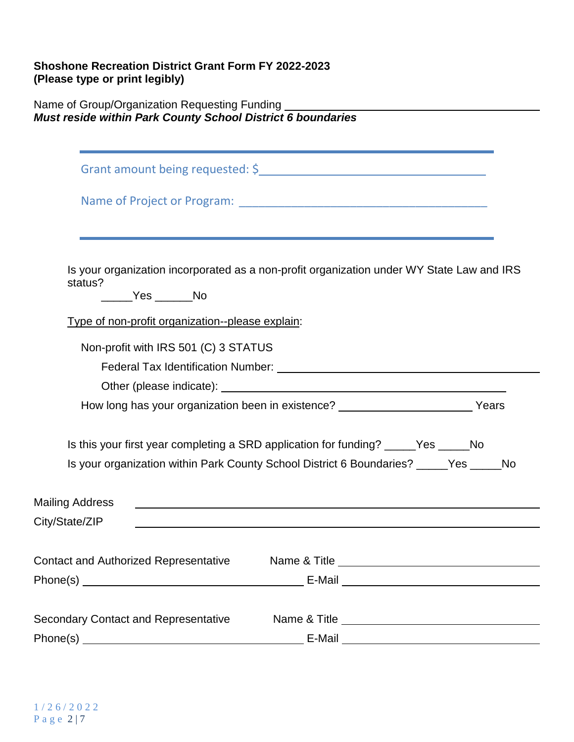## **Shoshone Recreation District Grant Form FY 2022-2023 (Please type or print legibly)**

Name of Group/Organization Requesting Funding *Must reside within Park County School District 6 boundaries*

| status?                                            | Is your organization incorporated as a non-profit organization under WY State Law and IRS                             |
|----------------------------------------------------|-----------------------------------------------------------------------------------------------------------------------|
| ______Yes ______No                                 |                                                                                                                       |
| Type of non-profit organization--please explain:   |                                                                                                                       |
| Non-profit with IRS 501 (C) 3 STATUS               |                                                                                                                       |
|                                                    |                                                                                                                       |
|                                                    |                                                                                                                       |
|                                                    | How long has your organization been in existence? _____________________________Years                                  |
|                                                    | Is this your first year completing a SRD application for funding? Yes No                                              |
|                                                    | Is your organization within Park County School District 6 Boundaries? Yes<br>$\sqrt{N}$                               |
| <b>Mailing Address</b>                             |                                                                                                                       |
| City/State/ZIP                                     | <u> 1989 - Johann Johann Stoff, deutscher Stoffen und der Stoffen und der Stoffen und der Stoffen und der Stoffen</u> |
| Contact and Authorized Representative Mame & Title |                                                                                                                       |
|                                                    | E-Mail 2020 2020 2020 2021 2021 2022 2021 2022 2022 2022 2022 2022 2022 2022 2022 2022 2022 2022 2022 2022 20         |
| <b>Secondary Contact and Representative</b>        |                                                                                                                       |
|                                                    | E-Mail 2008 2009 2010 2021 2022 2023 2024 2022 2022 2023 2024 2022 2023 2024 2022 2023 2024 2022 2023 2024 20         |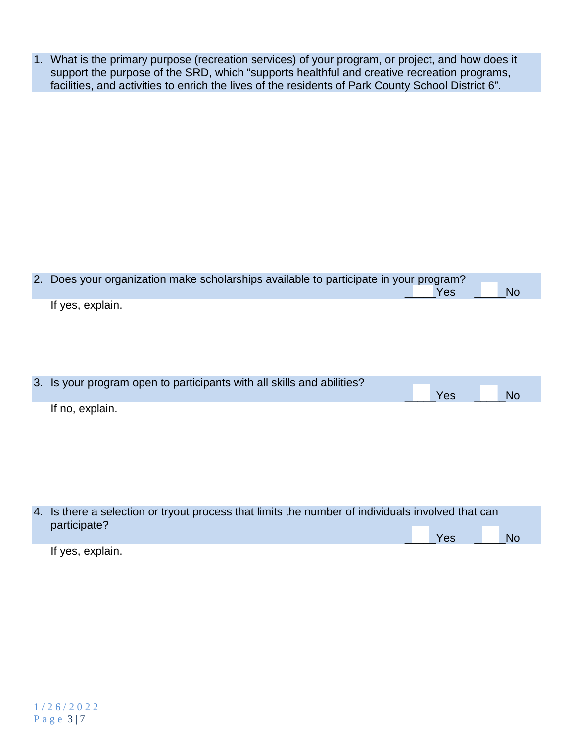1. What is the primary purpose (recreation services) of your program, or project, and how does it support the purpose of the SRD, which "supports healthful and creative recreation programs, facilities, and activities to enrich the lives of the residents of Park County School District 6".

| 2. Does your organization make scholarships available to participate in your program? |     |           |
|---------------------------------------------------------------------------------------|-----|-----------|
|                                                                                       | Yes | <b>No</b> |
| If yes, explain.                                                                      |     |           |
|                                                                                       |     |           |
|                                                                                       |     |           |
|                                                                                       |     |           |
|                                                                                       |     |           |
|                                                                                       |     |           |
| 3. Is your program open to participants with all skills and abilities?                |     |           |
|                                                                                       | Yes | <b>No</b> |
| If no, explain.                                                                       |     |           |
|                                                                                       |     |           |
|                                                                                       |     |           |

| 4. Is there a selection or tryout process that limits the number of individuals involved that can<br>participate? |     |           |
|-------------------------------------------------------------------------------------------------------------------|-----|-----------|
|                                                                                                                   | Yes | <b>No</b> |
| If yes, explain.                                                                                                  |     |           |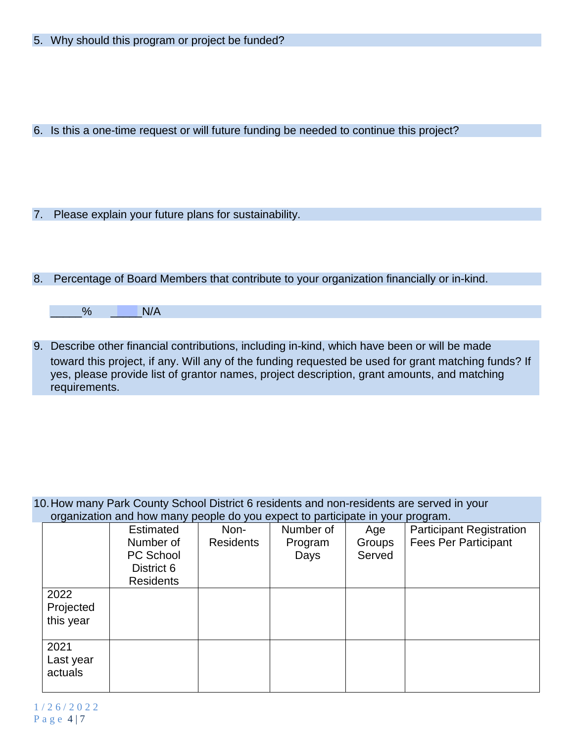6. Is this a one-time request or will future funding be needed to continue this project?

7. Please explain your future plans for sustainability.

## 8. Percentage of Board Members that contribute to your organization financially or in-kind.

| $\Omega$ |  | N/A |
|----------|--|-----|
|----------|--|-----|

9. Describe other financial contributions, including in-kind, which have been or will be made toward this project, if any. Will any of the funding requested be used for grant matching funds? If yes, please provide list of grantor names, project description, grant amounts, and matching requirements.

### 10.How many Park County School District 6 residents and non-residents are served in your organization and how many people do you expect to participate in your program.

|           | <b>Estimated</b> | Non-             | Number of | Age    | <b>Participant Registration</b> |
|-----------|------------------|------------------|-----------|--------|---------------------------------|
|           | Number of        | <b>Residents</b> | Program   | Groups | <b>Fees Per Participant</b>     |
|           | <b>PC School</b> |                  | Days      | Served |                                 |
|           | District 6       |                  |           |        |                                 |
|           | <b>Residents</b> |                  |           |        |                                 |
| 2022      |                  |                  |           |        |                                 |
| Projected |                  |                  |           |        |                                 |
| this year |                  |                  |           |        |                                 |
|           |                  |                  |           |        |                                 |
| 2021      |                  |                  |           |        |                                 |
| Last year |                  |                  |           |        |                                 |
| actuals   |                  |                  |           |        |                                 |
|           |                  |                  |           |        |                                 |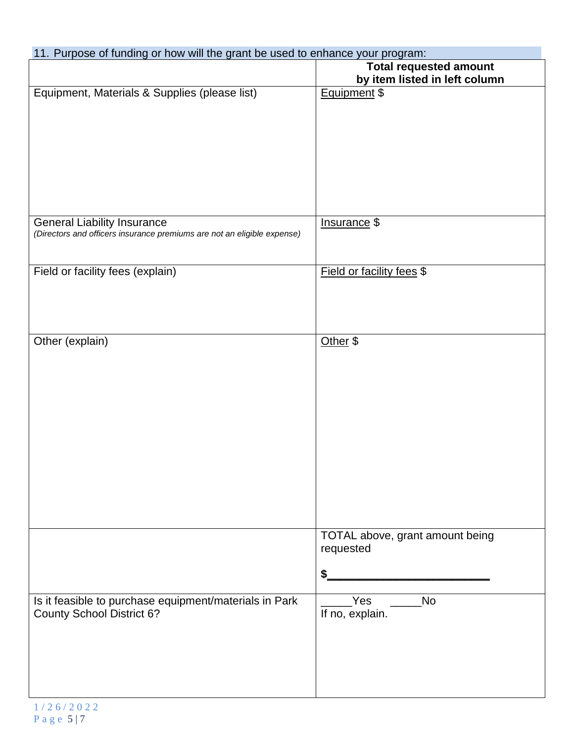## 11. Purpose of funding or how will the grant be used to enhance your program:

|                                                                                                               | <b>Total requested amount</b>                      |
|---------------------------------------------------------------------------------------------------------------|----------------------------------------------------|
|                                                                                                               | by item listed in left column                      |
| Equipment, Materials & Supplies (please list)                                                                 | Equipment \$                                       |
| <b>General Liability Insurance</b><br>(Directors and officers insurance premiums are not an eligible expense) | Insurance \$                                       |
| Field or facility fees (explain)                                                                              | Field or facility fees \$                          |
| Other (explain)                                                                                               | Other \$                                           |
|                                                                                                               | TOTAL above, grant amount being<br>requested<br>\$ |
| Is it feasible to purchase equipment/materials in Park<br><b>County School District 6?</b>                    | $Yes$ _ No<br>If no, explain.                      |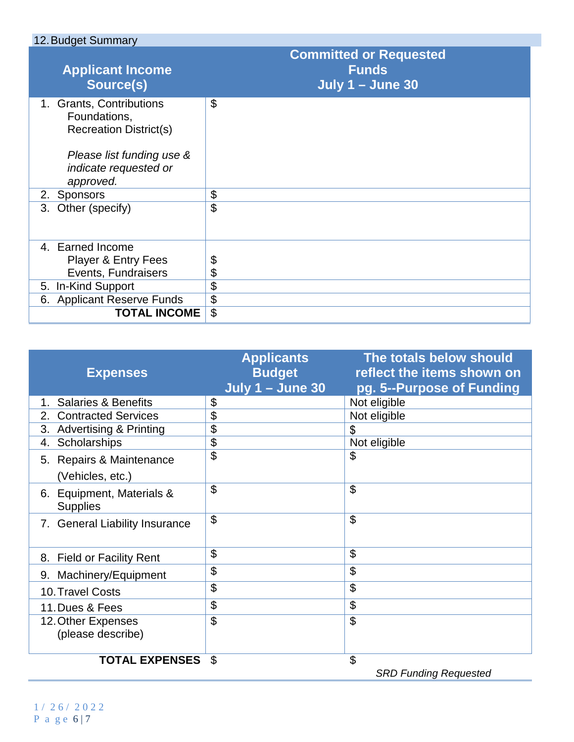| 12. Budget Summary                                                                                                                           |                                                                          |
|----------------------------------------------------------------------------------------------------------------------------------------------|--------------------------------------------------------------------------|
| <b>Applicant Income</b><br>Source(s)                                                                                                         | <b>Committed or Requested</b><br><b>Funds</b><br><b>July 1 - June 30</b> |
| 1. Grants, Contributions<br>Foundations,<br><b>Recreation District(s)</b><br>Please list funding use &<br>indicate requested or<br>approved. | \$                                                                       |
| 2. Sponsors                                                                                                                                  | \$                                                                       |
| Other (specify)<br>3.                                                                                                                        | $\mathfrak{L}$                                                           |
| 4. Earned Income<br><b>Player &amp; Entry Fees</b><br>Events, Fundraisers                                                                    | \$<br>\$                                                                 |
| 5. In-Kind Support                                                                                                                           | \$                                                                       |
| 6. Applicant Reserve Funds                                                                                                                   | \$                                                                       |
| <b>TOTAL INCOME</b>                                                                                                                          | \$                                                                       |

|                                              | <b>Applicants</b>       | The totals below should      |
|----------------------------------------------|-------------------------|------------------------------|
| <b>Expenses</b>                              | <b>Budget</b>           | reflect the items shown on   |
|                                              | <b>July 1 - June 30</b> | pg. 5--Purpose of Funding    |
| <b>Salaries &amp; Benefits</b><br>$1_{-}$    | \$                      | Not eligible                 |
| <b>Contracted Services</b><br>2.             | \$                      | Not eligible                 |
| 3. Advertising & Printing                    | \$                      | \$                           |
| Scholarships<br>4.                           | \$                      | Not eligible                 |
| 5. Repairs & Maintenance                     | \$                      | \$                           |
| (Vehicles, etc.)                             |                         |                              |
| 6. Equipment, Materials &<br><b>Supplies</b> | \$                      | \$                           |
| 7. General Liability Insurance               | \$                      | \$                           |
| 8. Field or Facility Rent                    | \$                      | \$                           |
| 9. Machinery/Equipment                       | \$                      | \$                           |
| 10. Travel Costs                             | \$                      | \$                           |
| 11. Dues & Fees                              | \$                      | \$                           |
| 12. Other Expenses                           | $\mathfrak{L}$          | \$                           |
| (please describe)                            |                         |                              |
| <b>TOTAL EXPENSES</b>                        | \$                      | \$                           |
|                                              |                         | <b>SRD Funding Requested</b> |